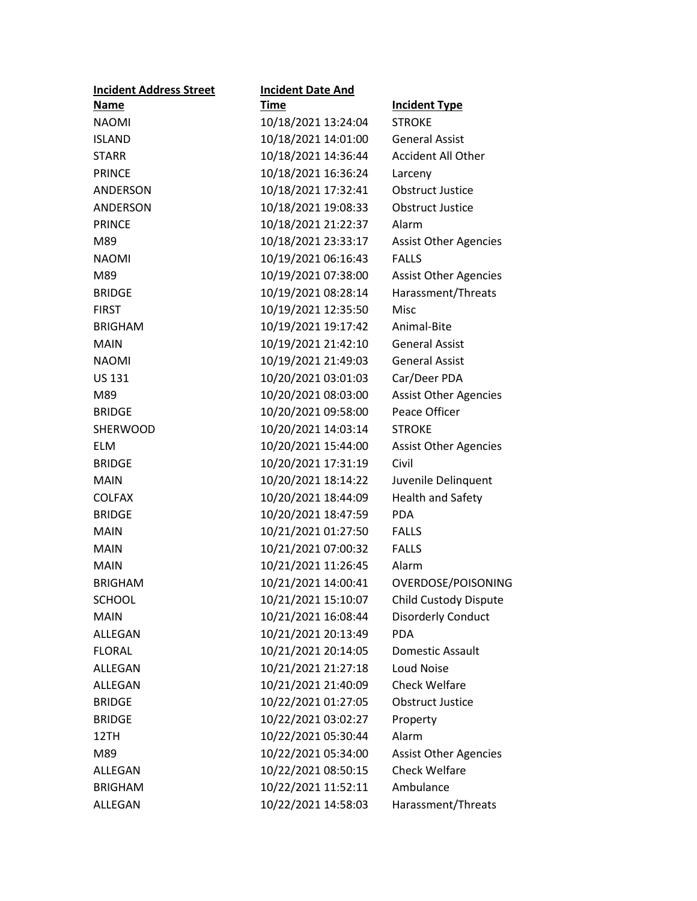| <b>Incident Address Street</b> | <b>Incident Date And</b> |                              |
|--------------------------------|--------------------------|------------------------------|
| <b>Name</b>                    | Time                     | <b>Incident Type</b>         |
| <b>NAOMI</b>                   | 10/18/2021 13:24:04      | <b>STROKE</b>                |
| <b>ISLAND</b>                  | 10/18/2021 14:01:00      | <b>General Assist</b>        |
| <b>STARR</b>                   | 10/18/2021 14:36:44      | <b>Accident All Other</b>    |
| <b>PRINCE</b>                  | 10/18/2021 16:36:24      | Larceny                      |
| ANDERSON                       | 10/18/2021 17:32:41      | <b>Obstruct Justice</b>      |
| <b>ANDERSON</b>                | 10/18/2021 19:08:33      | <b>Obstruct Justice</b>      |
| <b>PRINCE</b>                  | 10/18/2021 21:22:37      | Alarm                        |
| M89                            | 10/18/2021 23:33:17      | <b>Assist Other Agencies</b> |
| <b>NAOMI</b>                   | 10/19/2021 06:16:43      | <b>FALLS</b>                 |
| M89                            | 10/19/2021 07:38:00      | <b>Assist Other Agencies</b> |
| <b>BRIDGE</b>                  | 10/19/2021 08:28:14      | Harassment/Threats           |
| <b>FIRST</b>                   | 10/19/2021 12:35:50      | Misc                         |
| <b>BRIGHAM</b>                 | 10/19/2021 19:17:42      | Animal-Bite                  |
| <b>MAIN</b>                    | 10/19/2021 21:42:10      | <b>General Assist</b>        |
| <b>NAOMI</b>                   | 10/19/2021 21:49:03      | <b>General Assist</b>        |
| <b>US 131</b>                  | 10/20/2021 03:01:03      | Car/Deer PDA                 |
| M89                            | 10/20/2021 08:03:00      | <b>Assist Other Agencies</b> |
| <b>BRIDGE</b>                  | 10/20/2021 09:58:00      | Peace Officer                |
| <b>SHERWOOD</b>                | 10/20/2021 14:03:14      | <b>STROKE</b>                |
| <b>ELM</b>                     | 10/20/2021 15:44:00      | <b>Assist Other Agencies</b> |
| <b>BRIDGE</b>                  | 10/20/2021 17:31:19      | Civil                        |
| <b>MAIN</b>                    | 10/20/2021 18:14:22      | Juvenile Delinquent          |
| <b>COLFAX</b>                  | 10/20/2021 18:44:09      | Health and Safety            |
| <b>BRIDGE</b>                  | 10/20/2021 18:47:59      | <b>PDA</b>                   |
| <b>MAIN</b>                    | 10/21/2021 01:27:50      | <b>FALLS</b>                 |
| <b>MAIN</b>                    | 10/21/2021 07:00:32      | <b>FALLS</b>                 |
| <b>MAIN</b>                    | 10/21/2021 11:26:45      | Alarm                        |
| <b>BRIGHAM</b>                 | 10/21/2021 14:00:41      | OVERDOSE/POISONING           |
| <b>SCHOOL</b>                  | 10/21/2021 15:10:07      | <b>Child Custody Dispute</b> |
| <b>MAIN</b>                    | 10/21/2021 16:08:44      | <b>Disorderly Conduct</b>    |
| ALLEGAN                        | 10/21/2021 20:13:49      | <b>PDA</b>                   |
| <b>FLORAL</b>                  | 10/21/2021 20:14:05      | Domestic Assault             |
| ALLEGAN                        | 10/21/2021 21:27:18      | <b>Loud Noise</b>            |
| ALLEGAN                        | 10/21/2021 21:40:09      | <b>Check Welfare</b>         |
| <b>BRIDGE</b>                  | 10/22/2021 01:27:05      | Obstruct Justice             |
| <b>BRIDGE</b>                  | 10/22/2021 03:02:27      | Property                     |
| 12TH                           | 10/22/2021 05:30:44      | Alarm                        |
| M89                            | 10/22/2021 05:34:00      | <b>Assist Other Agencies</b> |
| ALLEGAN                        | 10/22/2021 08:50:15      | <b>Check Welfare</b>         |
| <b>BRIGHAM</b>                 | 10/22/2021 11:52:11      | Ambulance                    |
| ALLEGAN                        | 10/22/2021 14:58:03      | Harassment/Threats           |